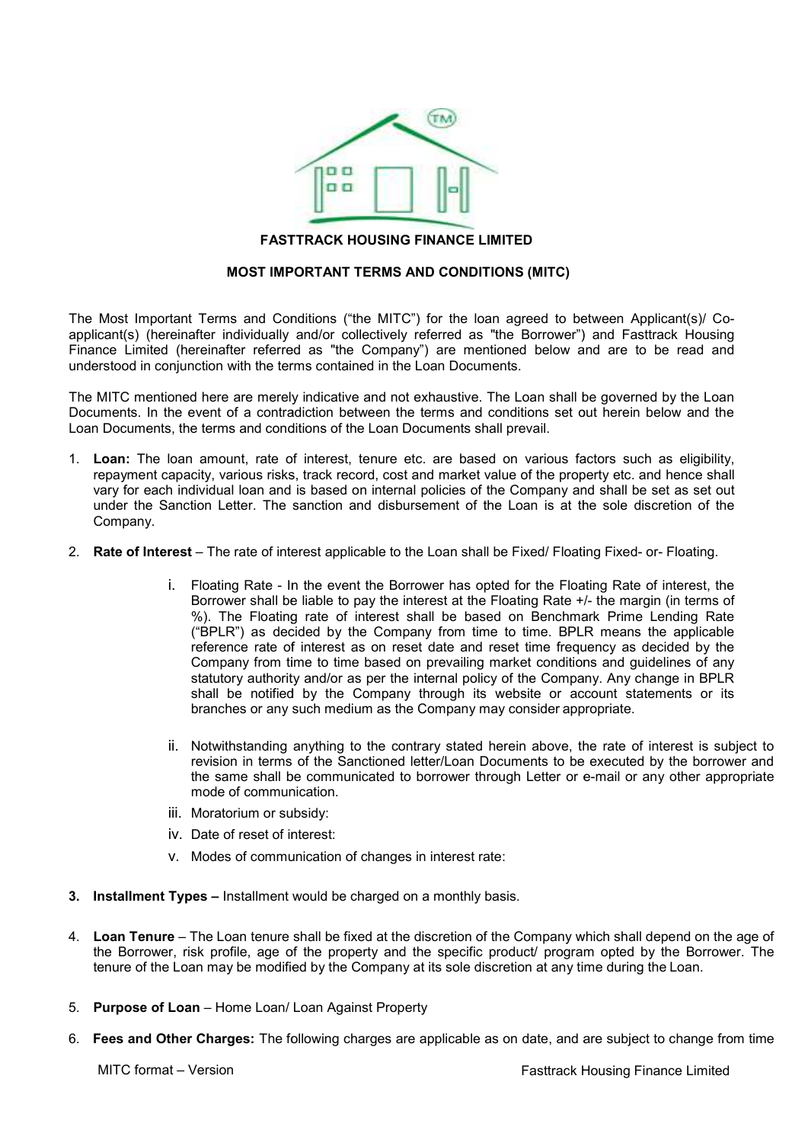

#### FASTTRACK HOUSING FINANCE LIMITED FINANCE LIMITED

## MOST IMPORTANT TERMS AND CONDITIONS (MITC)

The Most Important Terms and Conditions ("the MITC") for the loan agreed to between Applicant(s)/ Co The Most Important Terms and Conditions ("the MITC") for the loan agreed to between Applicant(s)/ Co-<br>applicant(s) (hereinafter individually and/or collectively referred as "the Borrower") and Fasttrack Housing Finance Limited (hereinafter referred as "the Company") are mentioned below and are to be read and understood in conjunction with the terms contained in the Loan Documents.

The MITC mentioned here are merely indicative and not exhaustive. The Loan shall be governed by the Loan Documents. In the event of a contradiction between the terms and conditions set out herein below and the Loan Documents, the terms and conditions of the Loan Documents shall prevail.

- 1. Loan: The loan amount, rate of interest, tenure etc. are based on various factors such as eligibility, repayment capacity, various risks, track record, cost and market value of the property etc. and hence shall vary for each individual loan and is based on internal policies of the Company and shall be set as set out under the Sanction Letter. The sanction and disbursement of the Loan is at the sole discretion of the Company. under the Sanction Letter. The sanction and disbursement of the Loan is at the sole discretion of the Company.<br>2. **Rate of Interest** – The rate of interest applicable to the Loan shall be Fixed/ Floating Fixed- or- Floatin understood in conjunction with the terms contained in the Loan Documents.<br>
The MITC mentioned here are merely indicative and not exhaustive. The Loan shall be governed by the Loan<br>
Documents. In the event of a contradictio
- 
- **rest** The rate of interest applicable to the Loan shall be Fixed/ Floating Fixed- or- Floating.<br>i. Floating Rate In the event the Borrower has opted for the Floating Rate of interest, the Borrower shall be liable to pay the interest at the Floating Rate +/- the margin (in terms of Borrower shall be liable to pay the interest at the Floating Rate +/- the margin (in terms of<br>%). The Floating rate of interest shall be based on Benchmark Prime Lending Rate %). The Floating rate of interest shall be based on Benchmark Prime Lending Rate<br>("BPLR") as decided by the Company from time to time. BPLR means the applicable reference rate of interest as on reset date and reset time frequency as decided by the Company from time to time based on prevailing market conditions and guidelines of any statutory authority and/or as per the internal policy of the Company. Any change in BPLR shall be notified by the Company through its website or account statements or its shall be notified by the Company through its website or account st<br>branches or any such medium as the Company may consider appropriate. interest as on reset date and reset time frequency as decided to time based on prevailing market conditions and guidelines of and/or as per the internal policy of the Company. Any change in ("the MITC") for the loan agreed to between Applicant(s)! Co-<br>collectively referred as "the Bororower") and Fastitrack Housing<br>e. Company') are mentioned below and are to be read and<br>eined in the Loan Documents.<br>We and no
	- ii. Notwithstanding anything to the contrary stated herein above, the rate of interest is subject to revision in terms of the Sanctioned letter/Loan Documents to be executed by the borrower and the same shall be communicated to borrower through Letter or e-mail or any other appropriate mode of communication.
	- iii. Moratorium or subsidy:
	- iv. Date of reset of interest:
	- iv. Date of reset of interest:<br>v. Modes of communication of changes in interest rate:
- 3. Installment Types Installment would be charged on a monthly basis.
- 4. Loan Tenure The Loan tenure shall be fixed at the discretion of the Company which shall depend on the age of the Borrower, risk profile, age of the property and the specific product/ program opted by the Borrower. The tenure of the Loan may be modified by the Company at its sole discretion at any time during the Loan. enure shall be fixed at the discretion of the Company which shall depend on the ag<br>age of the property and the specific product/ program opted by the Borrower.<br>modified by the Company at its sole discretion at
- 5. Purpose of Loan Home Loan/ Loan Against Property
- 6. Fees and Other Charges: The following charges are applicable as on date, and are subject to change from time

MITC format – Version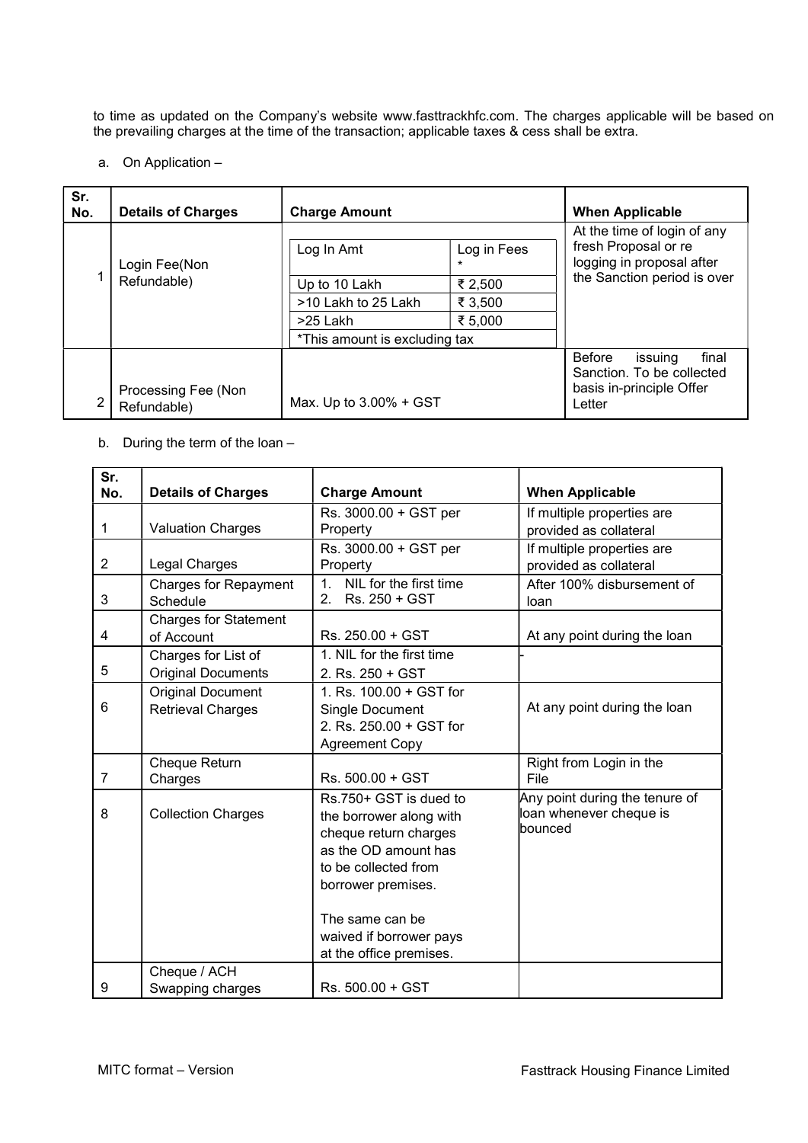to time as updated on the Company's website www.fasttrackhfc.com. The charges applicable will be based on the prevailing charges at the time of the transaction; applicable taxes & cess shall be extra.

## a. On Application –

| Sr.<br>No. | <b>Details of Charges</b>          | <b>Charge Amount</b>          |                        | <b>When Applicable</b>                                                                                          |
|------------|------------------------------------|-------------------------------|------------------------|-----------------------------------------------------------------------------------------------------------------|
|            | Login Fee(Non<br>Refundable)       | Log In Amt                    | Log in Fees<br>$\star$ | At the time of login of any<br>fresh Proposal or re<br>logging in proposal after<br>the Sanction period is over |
|            |                                    | Up to 10 Lakh                 | ₹ 2,500                |                                                                                                                 |
|            |                                    | >10 Lakh to 25 Lakh           | ₹ 3,500                |                                                                                                                 |
|            |                                    | >25 Lakh                      | ₹ 5,000                |                                                                                                                 |
|            |                                    | *This amount is excluding tax |                        |                                                                                                                 |
| 2          | Processing Fee (Non<br>Refundable) | Max. Up to 3.00% + GST        |                        | final<br><b>Before</b><br>issuing<br>Sanction. To be collected<br>basis in-principle Offer<br>Letter            |

## b. During the term of the loan –

| Sr.            |                                                  |                                                                                                                                                                                                                           |                                                                      |
|----------------|--------------------------------------------------|---------------------------------------------------------------------------------------------------------------------------------------------------------------------------------------------------------------------------|----------------------------------------------------------------------|
| No.            | <b>Details of Charges</b>                        | <b>Charge Amount</b>                                                                                                                                                                                                      | <b>When Applicable</b>                                               |
| 1              | <b>Valuation Charges</b>                         | Rs. 3000.00 + GST per<br>Property                                                                                                                                                                                         | If multiple properties are<br>provided as collateral                 |
| 2              | Legal Charges                                    | Rs. 3000.00 + GST per<br>Property                                                                                                                                                                                         | If multiple properties are<br>provided as collateral                 |
| 3              | <b>Charges for Repayment</b><br>Schedule         | NIL for the first time<br>1<br>Rs. 250 + GST<br>2 <sub>1</sub>                                                                                                                                                            | After 100% disbursement of<br>loan                                   |
| 4              | <b>Charges for Statement</b><br>of Account       | Rs. 250.00 + GST                                                                                                                                                                                                          | At any point during the loan                                         |
| 5              | Charges for List of<br><b>Original Documents</b> | 1. NIL for the first time<br>2. Rs. $250 + GST$                                                                                                                                                                           |                                                                      |
| 6              | <b>Original Document</b><br>Retrieval Charges    | 1. Rs. 100.00 + GST for<br>Single Document<br>2. Rs. 250.00 + GST for<br><b>Agreement Copy</b>                                                                                                                            | At any point during the loan                                         |
| $\overline{7}$ | Cheque Return<br>Charges                         | Rs. 500.00 + GST                                                                                                                                                                                                          | Right from Login in the<br>File                                      |
| 8              | <b>Collection Charges</b>                        | Rs.750+ GST is dued to<br>the borrower along with<br>cheque return charges<br>as the OD amount has<br>to be collected from<br>borrower premises.<br>The same can be<br>waived if borrower pays<br>at the office premises. | Any point during the tenure of<br>loan whenever cheque is<br>bounced |
| 9              | Cheque / ACH                                     | Rs. 500.00 + GST                                                                                                                                                                                                          |                                                                      |
|                | Swapping charges                                 |                                                                                                                                                                                                                           |                                                                      |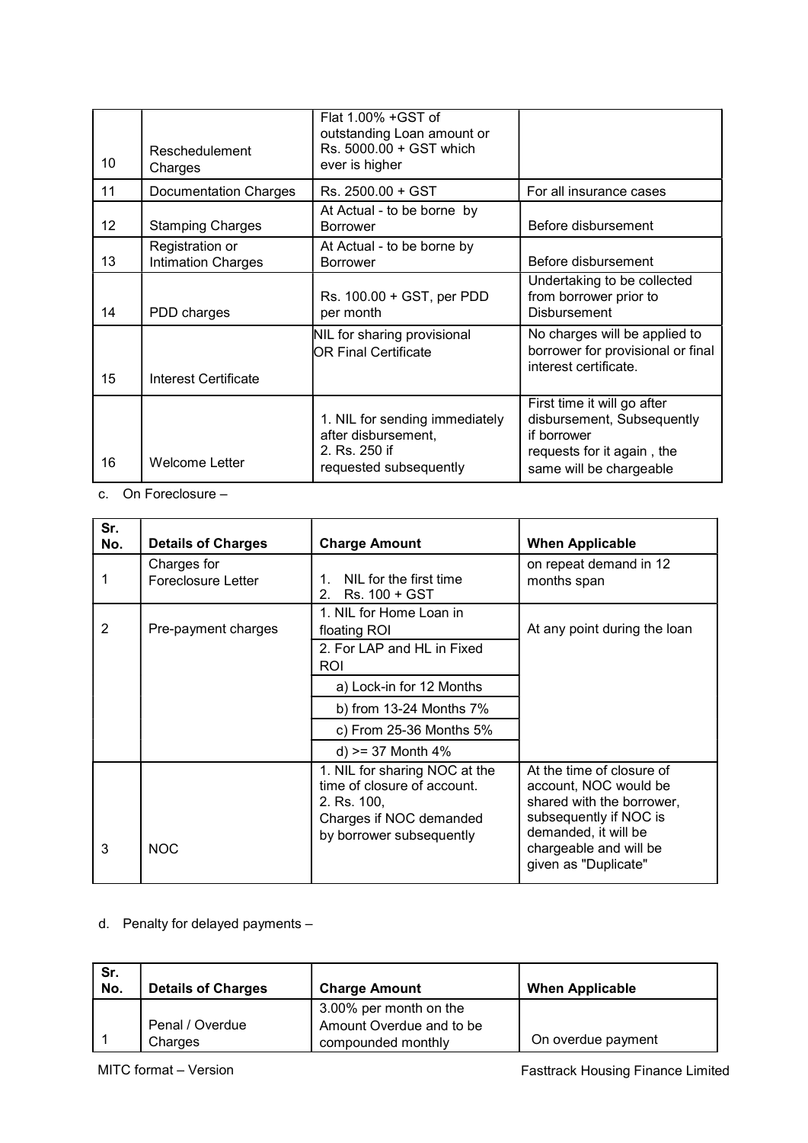| 10 | Reschedulement<br>Charges                    | Flat 1.00% +GST of<br>outstanding Loan amount or<br>Rs. 5000.00 + GST which<br>ever is higher    |                                                                                                                                   |
|----|----------------------------------------------|--------------------------------------------------------------------------------------------------|-----------------------------------------------------------------------------------------------------------------------------------|
| 11 | <b>Documentation Charges</b>                 | Rs. 2500.00 + GST                                                                                | For all insurance cases                                                                                                           |
| 12 | <b>Stamping Charges</b>                      | At Actual - to be borne by<br><b>Borrower</b>                                                    | Before disbursement                                                                                                               |
| 13 | Registration or<br><b>Intimation Charges</b> | At Actual - to be borne by<br><b>Borrower</b>                                                    | Before disbursement                                                                                                               |
| 14 | PDD charges                                  | Rs. 100.00 + GST, per PDD<br>per month                                                           | Undertaking to be collected<br>from borrower prior to<br><b>Disbursement</b>                                                      |
| 15 | Interest Certificate                         | NIL for sharing provisional<br>OR Final Certificate                                              | No charges will be applied to<br>borrower for provisional or final<br>interest certificate.                                       |
| 16 | <b>Welcome Letter</b>                        | 1. NIL for sending immediately<br>after disbursement,<br>2. Rs. 250 if<br>requested subsequently | First time it will go after<br>disbursement, Subsequently<br>if borrower<br>requests for it again, the<br>same will be chargeable |

c. On Foreclosure –

| Sr.<br>No.     | <b>Details of Charges</b>                | <b>Charge Amount</b>                                                                                                               | <b>When Applicable</b>                                                                                                                                                              |
|----------------|------------------------------------------|------------------------------------------------------------------------------------------------------------------------------------|-------------------------------------------------------------------------------------------------------------------------------------------------------------------------------------|
|                | Charges for<br><b>Foreclosure Letter</b> | NIL for the first time<br>1.<br>Rs. 100 + GST<br>2 <sup>1</sup>                                                                    | on repeat demand in 12<br>months span                                                                                                                                               |
| $\overline{2}$ | Pre-payment charges                      | 1. NIL for Home Loan in<br>floating ROI<br>2. For LAP and HL in Fixed<br><b>ROI</b>                                                | At any point during the loan                                                                                                                                                        |
|                |                                          | a) Lock-in for 12 Months                                                                                                           |                                                                                                                                                                                     |
|                |                                          | b) from 13-24 Months 7%                                                                                                            |                                                                                                                                                                                     |
|                |                                          | c) From 25-36 Months 5%                                                                                                            |                                                                                                                                                                                     |
|                |                                          | $d$ ) >= 37 Month 4%                                                                                                               |                                                                                                                                                                                     |
| 3              | <b>NOC</b>                               | 1. NIL for sharing NOC at the<br>time of closure of account.<br>2. Rs. 100,<br>Charges if NOC demanded<br>by borrower subsequently | At the time of closure of<br>account, NOC would be<br>shared with the borrower,<br>subsequently if NOC is<br>demanded, it will be<br>chargeable and will be<br>given as "Duplicate" |

# d. Penalty for delayed payments –

| Sr.<br>No. | <b>Details of Charges</b>  | <b>Charge Amount</b>                                                     | <b>When Applicable</b> |
|------------|----------------------------|--------------------------------------------------------------------------|------------------------|
|            | Penal / Overdue<br>Charges | 3.00% per month on the<br>Amount Overdue and to be<br>compounded monthly | On overdue payment     |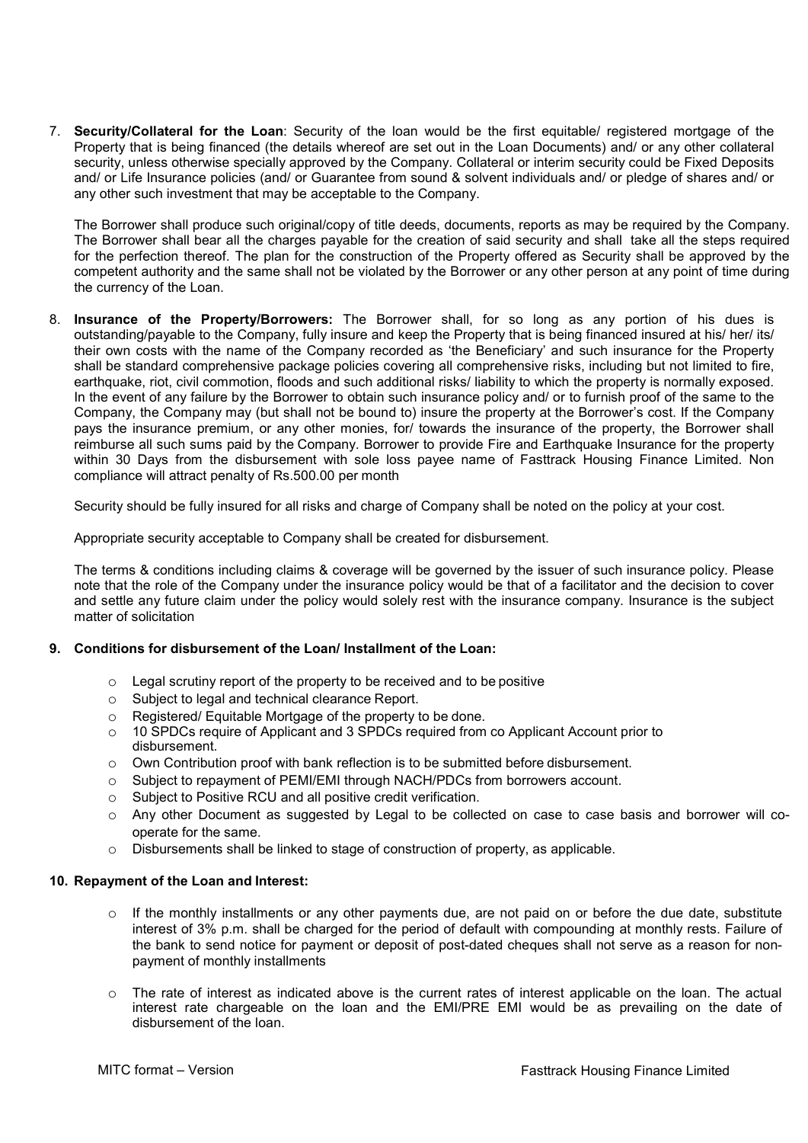7. Security/Collateral for the Loan: Security of the loan would be the first equitable/ registered mortgage of the Property that is being financed (the details whereof are set out in the Loan Documents) and/ or any other collateral security, unless otherwise specially approved by the Company. Collateral or interim security could be Fixed Deposits and/ or Life Insurance policies (and/ or Guarantee from sound & solvent individuals and/ or pledge of shares and/ or any other such investment that may be acceptable to the Company.

The Borrower shall produce such original/copy of title deeds, documents, reports as may be required by the Company. The Borrower shall bear all the charges payable for the creation of said security and shall take all the steps required for the perfection thereof. The plan for the construction of the Property offered as Security shall be approved by the competent authority and the same shall not be violated by the Borrower or any other person at any point of time during the currency of the Loan.

8. Insurance of the Property/Borrowers: The Borrower shall, for so long as any portion of his dues is outstanding/payable to the Company, fully insure and keep the Property that is being financed insured at his/ her/ its/ their own costs with the name of the Company recorded as 'the Beneficiary' and such insurance for the Property shall be standard comprehensive package policies covering all comprehensive risks, including but not limited to fire, earthquake, riot, civil commotion, floods and such additional risks/ liability to which the property is normally exposed. In the event of any failure by the Borrower to obtain such insurance policy and/ or to furnish proof of the same to the Company, the Company may (but shall not be bound to) insure the property at the Borrower's cost. If the Company pays the insurance premium, or any other monies, for/ towards the insurance of the property, the Borrower shall reimburse all such sums paid by the Company. Borrower to provide Fire and Earthquake Insurance for the property within 30 Days from the disbursement with sole loss payee name of Fasttrack Housing Finance Limited. Non compliance will attract penalty of Rs.500.00 per month

Security should be fully insured for all risks and charge of Company shall be noted on the policy at your cost.

Appropriate security acceptable to Company shall be created for disbursement.

The terms & conditions including claims & coverage will be governed by the issuer of such insurance policy. Please note that the role of the Company under the insurance policy would be that of a facilitator and the decision to cover and settle any future claim under the policy would solely rest with the insurance company. Insurance is the subject matter of solicitation

## 9. Conditions for disbursement of the Loan/ Installment of the Loan:

- o Legal scrutiny report of the property to be received and to be positive
- o Subject to legal and technical clearance Report.
- o Registered/ Equitable Mortgage of the property to be done.
- o 10 SPDCs require of Applicant and 3 SPDCs required from co Applicant Account prior to disbursement.
- o Own Contribution proof with bank reflection is to be submitted before disbursement.
- o Subject to repayment of PEMI/EMI through NACH/PDCs from borrowers account.
- o Subject to Positive RCU and all positive credit verification.
- o Any other Document as suggested by Legal to be collected on case to case basis and borrower will cooperate for the same.
- $\circ$  Disbursements shall be linked to stage of construction of property, as applicable.

#### 10. Repayment of the Loan and Interest:

- o If the monthly installments or any other payments due, are not paid on or before the due date, substitute interest of 3% p.m. shall be charged for the period of default with compounding at monthly rests. Failure of the bank to send notice for payment or deposit of post-dated cheques shall not serve as a reason for nonpayment of monthly installments
- o The rate of interest as indicated above is the current rates of interest applicable on the loan. The actual interest rate chargeable on the loan and the EMI/PRE EMI would be as prevailing on the date of disbursement of the loan.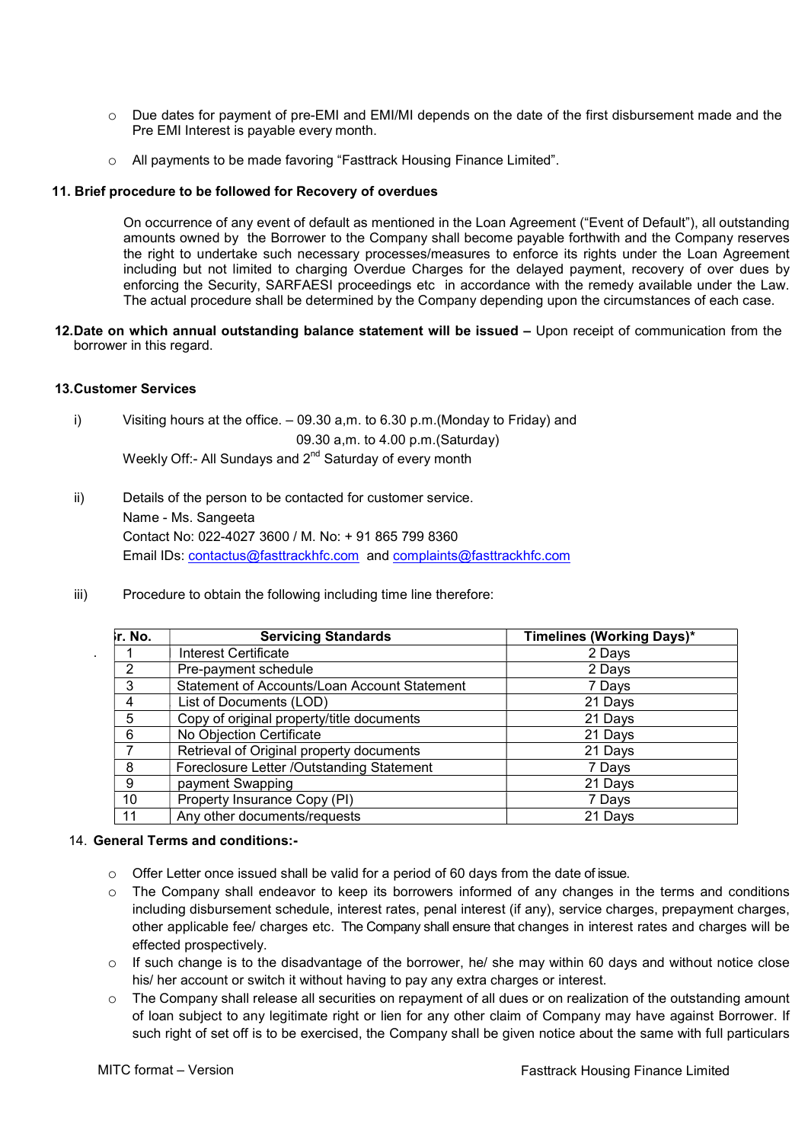- o Due dates for payment of pre-EMI and EMI/MI depends on the date of the first disbursement made and the Pre EMI Interest is payable every month.
- o All payments to be made favoring "Fasttrack Housing Finance Limited".

#### 11. Brief procedure to be followed for Recovery of overdues

On occurrence of any event of default as mentioned in the Loan Agreement ("Event of Default"), all outstanding amounts owned by the Borrower to the Company shall become payable forthwith and the Company reserves the right to undertake such necessary processes/measures to enforce its rights under the Loan Agreement including but not limited to charging Overdue Charges for the delayed payment, recovery of over dues by enforcing the Security, SARFAESI proceedings etc in accordance with the remedy available under the Law. The actual procedure shall be determined by the Company depending upon the circumstances of each case.

12. Date on which annual outstanding balance statement will be issued – Upon receipt of communication from the borrower in this regard.

## 13. Customer Services

.

- i) Visiting hours at the office. 09.30 a,m. to 6.30 p.m.(Monday to Friday) and 09.30 a,m. to 4.00 p.m.(Saturday) Weekly Off:- All Sundays and 2<sup>nd</sup> Saturday of every month
- ii) Details of the person to be contacted for customer service. Name - Ms. Sangeeta Contact No: 022-4027 3600 / M. No: + 91 865 799 8360 Email IDs: contactus@fasttrackhfc.com and complaints@fasttrackhfc.com
- iii) Procedure to obtain the following including time line therefore:

| r. No. | <b>Servicing Standards</b>                   | Timelines (Working Days)* |
|--------|----------------------------------------------|---------------------------|
|        | Interest Certificate                         | 2 Days                    |
| 2      | Pre-payment schedule                         | 2 Days                    |
| 3      | Statement of Accounts/Loan Account Statement | 7 Days                    |
| 4      | List of Documents (LOD)                      | 21 Days                   |
| 5      | Copy of original property/title documents    | 21 Days                   |
| 6      | No Objection Certificate                     | 21 Days                   |
|        | Retrieval of Original property documents     | 21 Days                   |
| 8      | Foreclosure Letter /Outstanding Statement    | 7 Days                    |
| 9      | payment Swapping                             | 21 Days                   |
| 10     | Property Insurance Copy (PI)                 | 7 Days                    |
| 11     | Any other documents/requests                 | 21 Days                   |

## 14. General Terms and conditions:-

- $\circ$  Offer Letter once issued shall be valid for a period of 60 days from the date of issue.
- $\circ$  The Company shall endeavor to keep its borrowers informed of any changes in the terms and conditions including disbursement schedule, interest rates, penal interest (if any), service charges, prepayment charges, other applicable fee/ charges etc. The Company shall ensure that changes in interest rates and charges will be effected prospectively.
- o If such change is to the disadvantage of the borrower, he/ she may within 60 days and without notice close his/ her account or switch it without having to pay any extra charges or interest.
- o The Company shall release all securities on repayment of all dues or on realization of the outstanding amount of loan subject to any legitimate right or lien for any other claim of Company may have against Borrower. If such right of set off is to be exercised, the Company shall be given notice about the same with full particulars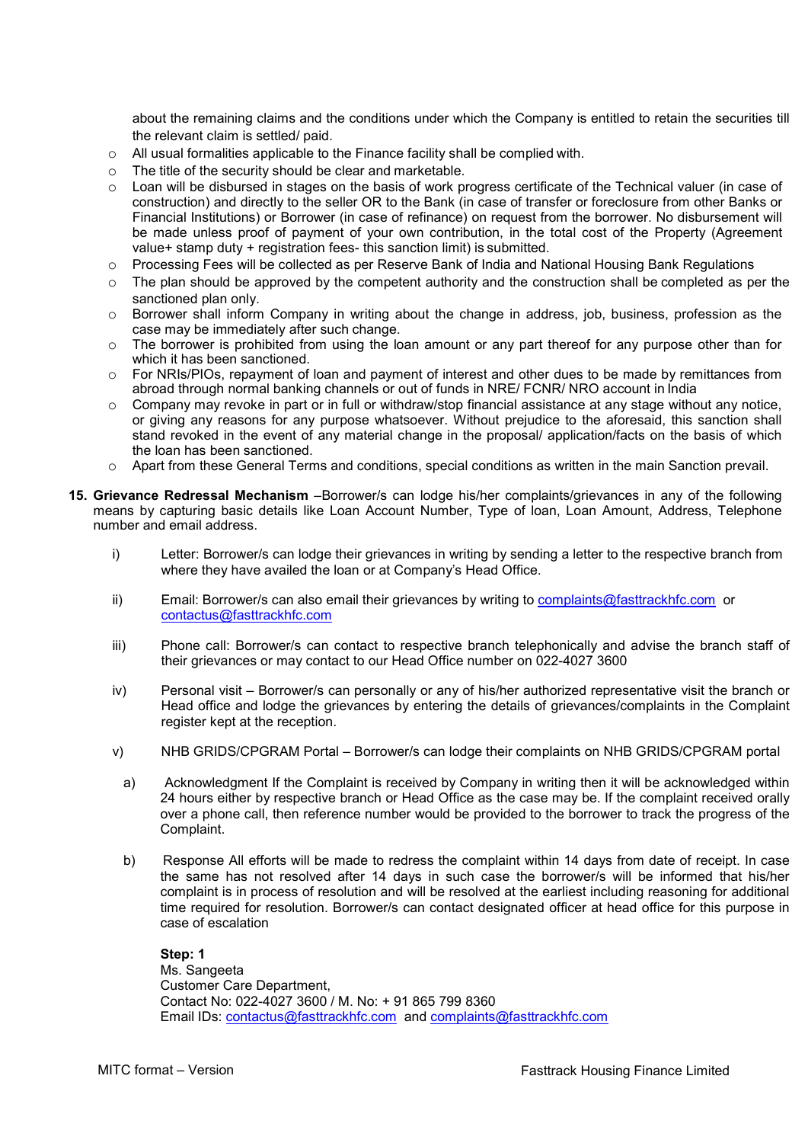about the remaining claims and the conditions under which the Company is entitled to retain the securities till the relevant claim is settled/ paid.

- $\circ$  All usual formalities applicable to the Finance facility shall be complied with.
- o The title of the security should be clear and marketable.
- o Loan will be disbursed in stages on the basis of work progress certificate of the Technical valuer (in case of construction) and directly to the seller OR to the Bank (in case of transfer or foreclosure from other Banks or Financial Institutions) or Borrower (in case of refinance) on request from the borrower. No disbursement will be made unless proof of payment of your own contribution, in the total cost of the Property (Agreement value+ stamp duty + registration fees- this sanction limit) is submitted.
- o Processing Fees will be collected as per Reserve Bank of India and National Housing Bank Regulations
- $\circ$  The plan should be approved by the competent authority and the construction shall be completed as per the sanctioned plan only.
- $\circ$  Borrower shall inform Company in writing about the change in address, job, business, profession as the case may be immediately after such change.
- $\circ$  The borrower is prohibited from using the loan amount or any part thereof for any purpose other than for which it has been sanctioned.
- o For NRIs/PIOs, repayment of loan and payment of interest and other dues to be made by remittances from abroad through normal banking channels or out of funds in NRE/ FCNR/ NRO account in India
- $\circ$  Company may revoke in part or in full or withdraw/stop financial assistance at any stage without any notice, or giving any reasons for any purpose whatsoever. Without prejudice to the aforesaid, this sanction shall stand revoked in the event of any material change in the proposal/ application/facts on the basis of which the loan has been sanctioned.
- o Apart from these General Terms and conditions, special conditions as written in the main Sanction prevail.
- 15. Grievance Redressal Mechanism –Borrower/s can lodge his/her complaints/grievances in any of the following means by capturing basic details like Loan Account Number, Type of loan, Loan Amount, Address, Telephone number and email address.
	- i) Letter: Borrower/s can lodge their grievances in writing by sending a letter to the respective branch from where they have availed the loan or at Company's Head Office.
	- ii) Email: Borrower/s can also email their grievances by writing to complaints@fasttrackhfc.com or contactus@fasttrackhfc.com
	- iii) Phone call: Borrower/s can contact to respective branch telephonically and advise the branch staff of their grievances or may contact to our Head Office number on 022-4027 3600
	- iv) Personal visit Borrower/s can personally or any of his/her authorized representative visit the branch or Head office and lodge the grievances by entering the details of grievances/complaints in the Complaint register kept at the reception.
	- v) NHB GRIDS/CPGRAM Portal Borrower/s can lodge their complaints on NHB GRIDS/CPGRAM portal
	- a) Acknowledgment If the Complaint is received by Company in writing then it will be acknowledged within 24 hours either by respective branch or Head Office as the case may be. If the complaint received orally over a phone call, then reference number would be provided to the borrower to track the progress of the Complaint.
	- b) Response All efforts will be made to redress the complaint within 14 days from date of receipt. In case the same has not resolved after 14 days in such case the borrower/s will be informed that his/her complaint is in process of resolution and will be resolved at the earliest including reasoning for additional time required for resolution. Borrower/s can contact designated officer at head office for this purpose in case of escalation

Step: 1 Ms. Sangeeta Customer Care Department, Contact No: 022-4027 3600 / M. No: + 91 865 799 8360 Email IDs: contactus@fasttrackhfc.com and complaints@fasttrackhfc.com